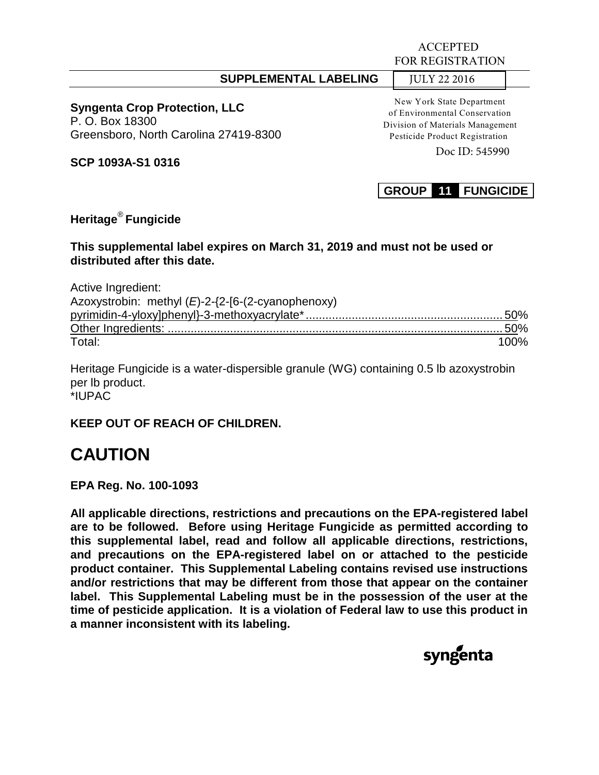#### ACCEPTED FOR REGISTRATION

#### **SUPPLEMENTAL LABELING**

JULY 22 2016

**Syngenta Crop Protection, LLC**  P. O. Box 18300 Greensboro, North Carolina 27419-8300

New York State Department of Environmental Conservation Division of Materials Management Pesticide Product Registration

**SCP 1093A-S1 0316** 

Doc ID: 545990

**GROUP 11 FUNGICIDE**

## **Heritage**® **Fungicide**

#### **This supplemental label expires on March 31, 2019 and must not be used or distributed after this date.**

| Active Ingredient:                                            |      |
|---------------------------------------------------------------|------|
| Azoxystrobin: methyl $(E)$ -2- $\{2$ - $[6-(2-cyanophenoxy)]$ |      |
|                                                               |      |
|                                                               |      |
| Total:                                                        | 100% |

Heritage Fungicide is a water-dispersible granule (WG) containing 0.5 lb azoxystrobin per lb product. \*IUPAC

**KEEP OUT OF REACH OF CHILDREN.** 

# **CAUTION**

**EPA Reg. No. 100-1093**

**All applicable directions, restrictions and precautions on the EPA-registered label are to be followed. Before using Heritage Fungicide as permitted according to this supplemental label, read and follow all applicable directions, restrictions, and precautions on the EPA-registered label on or attached to the pesticide product container. This Supplemental Labeling contains revised use instructions and/or restrictions that may be different from those that appear on the container label. This Supplemental Labeling must be in the possession of the user at the time of pesticide application. It is a violation of Federal law to use this product in a manner inconsistent with its labeling.** 

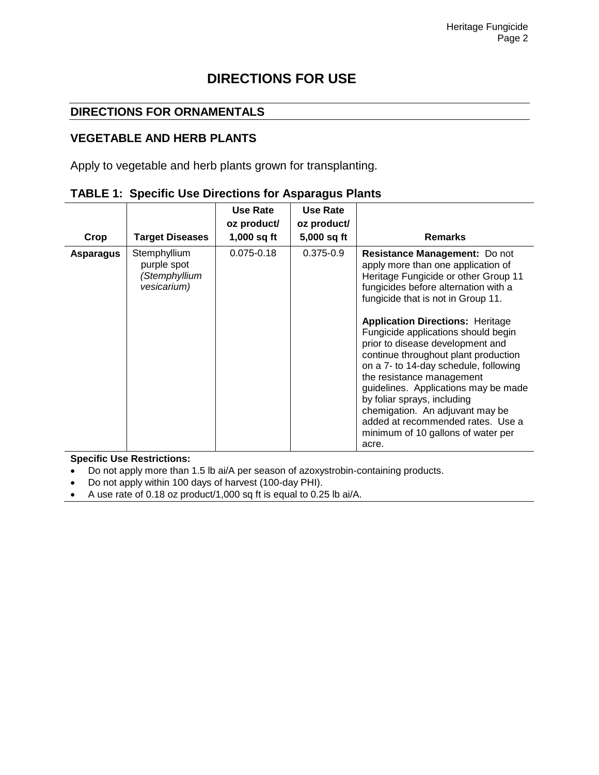## **DIRECTIONS FOR USE**

#### **DIRECTIONS FOR ORNAMENTALS**

#### **VEGETABLE AND HERB PLANTS**

Apply to vegetable and herb plants grown for transplanting.

|  |  | <b>TABLE 1: Specific Use Directions for Asparagus Plants</b> |  |  |  |
|--|--|--------------------------------------------------------------|--|--|--|
|--|--|--------------------------------------------------------------|--|--|--|

|                  |                                                             | Use Rate<br>oz product/ | Use Rate<br>oz product/ |                                                                                                                                                                                                                                                                                                                                                                                                                                                                                                                                                                                                                                    |
|------------------|-------------------------------------------------------------|-------------------------|-------------------------|------------------------------------------------------------------------------------------------------------------------------------------------------------------------------------------------------------------------------------------------------------------------------------------------------------------------------------------------------------------------------------------------------------------------------------------------------------------------------------------------------------------------------------------------------------------------------------------------------------------------------------|
| Crop             | <b>Target Diseases</b>                                      | $1,000$ sq ft           | 5,000 sq ft             | <b>Remarks</b>                                                                                                                                                                                                                                                                                                                                                                                                                                                                                                                                                                                                                     |
| <b>Asparagus</b> | Stemphyllium<br>purple spot<br>(Stemphyllium<br>vesicarium) | $0.075 - 0.18$          | $0.375 - 0.9$           | <b>Resistance Management:</b> Do not<br>apply more than one application of<br>Heritage Fungicide or other Group 11<br>fungicides before alternation with a<br>fungicide that is not in Group 11.<br><b>Application Directions: Heritage</b><br>Fungicide applications should begin<br>prior to disease development and<br>continue throughout plant production<br>on a 7- to 14-day schedule, following<br>the resistance management<br>guidelines. Applications may be made<br>by foliar sprays, including<br>chemigation. An adjuvant may be<br>added at recommended rates. Use a<br>minimum of 10 gallons of water per<br>acre. |

- Do not apply more than 1.5 lb ai/A per season of azoxystrobin-containing products.
- Do not apply within 100 days of harvest (100-day PHI).
- A use rate of 0.18 oz product/1,000 sq ft is equal to 0.25 lb ai/A.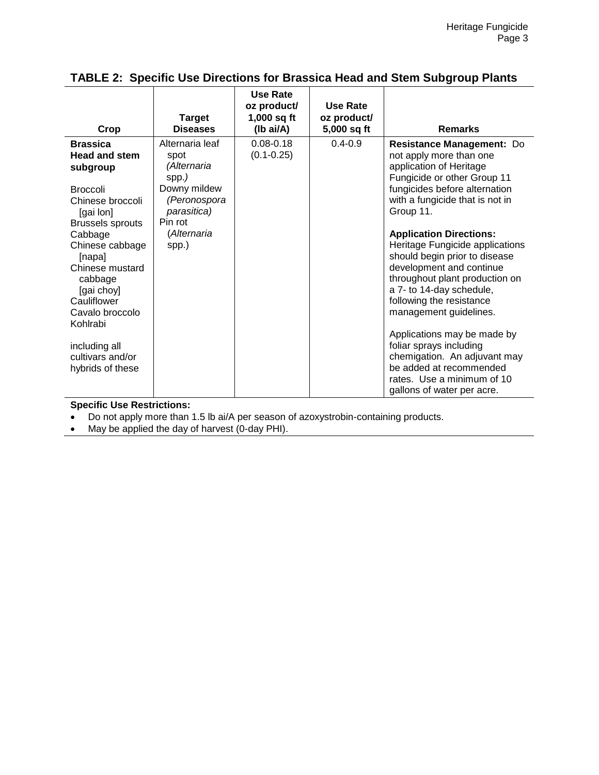| Crop                                                                                                                                                                                                                                                                                                                          | <b>Target</b><br><b>Diseases</b>                                                                                                  | Use Rate<br>oz product/<br>$1,000$ sq ft<br>(Ib ai/A) | Use Rate<br>oz product/<br>5,000 sq ft | <b>Remarks</b>                                                                                                                                                                                                                                                                                                                                                                                                                                                                                                                                                                                                                                |
|-------------------------------------------------------------------------------------------------------------------------------------------------------------------------------------------------------------------------------------------------------------------------------------------------------------------------------|-----------------------------------------------------------------------------------------------------------------------------------|-------------------------------------------------------|----------------------------------------|-----------------------------------------------------------------------------------------------------------------------------------------------------------------------------------------------------------------------------------------------------------------------------------------------------------------------------------------------------------------------------------------------------------------------------------------------------------------------------------------------------------------------------------------------------------------------------------------------------------------------------------------------|
| <b>Brassica</b><br><b>Head and stem</b><br>subgroup<br><b>Broccoli</b><br>Chinese broccoli<br>[gai lon]<br><b>Brussels sprouts</b><br>Cabbage<br>Chinese cabbage<br>[napa]<br>Chinese mustard<br>cabbage<br>[gai choy]<br>Cauliflower<br>Cavalo broccolo<br>Kohlrabi<br>including all<br>cultivars and/or<br>hybrids of these | Alternaria leaf<br>spot<br>(Alternaria<br>spp.)<br>Downy mildew<br>(Peronospora<br>parasitica)<br>Pin rot<br>(Alternaria<br>spp.) | $0.08 - 0.18$<br>$(0.1 - 0.25)$                       | $0.4 - 0.9$                            | <b>Resistance Management: Do</b><br>not apply more than one<br>application of Heritage<br>Fungicide or other Group 11<br>fungicides before alternation<br>with a fungicide that is not in<br>Group 11.<br><b>Application Directions:</b><br>Heritage Fungicide applications<br>should begin prior to disease<br>development and continue<br>throughout plant production on<br>a 7- to 14-day schedule,<br>following the resistance<br>management guidelines.<br>Applications may be made by<br>foliar sprays including<br>chemigation. An adjuvant may<br>be added at recommended<br>rates. Use a minimum of 10<br>gallons of water per acre. |

### **TABLE 2: Specific Use Directions for Brassica Head and Stem Subgroup Plants**

**Specific Use Restrictions:**

Do not apply more than 1.5 lb ai/A per season of azoxystrobin-containing products.

May be applied the day of harvest (0-day PHI).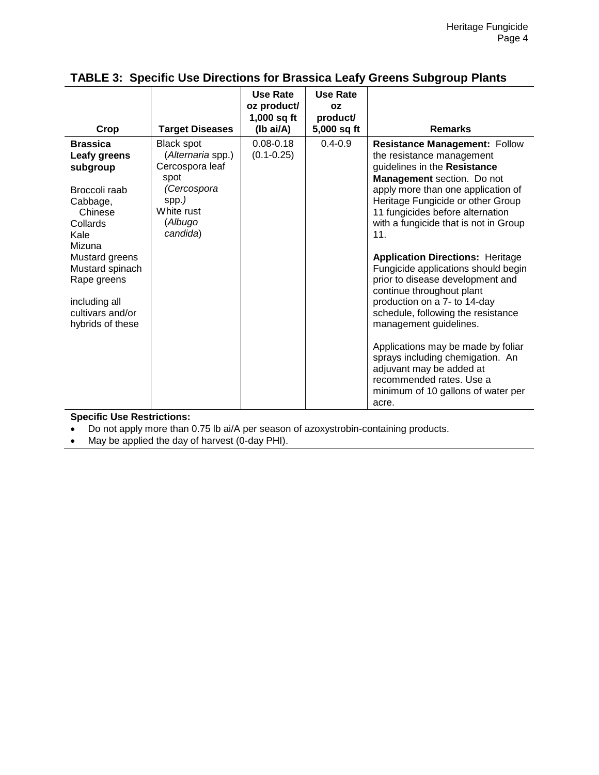| Crop                                                                                                                                                                                                                           | <b>Target Diseases</b>                                                                                                  | <b>Use Rate</b><br>oz product/<br>$1,000$ sq ft<br>(Ib ai/A) | <b>Use Rate</b><br><b>OZ</b><br>product/<br>5,000 sq ft | <b>Remarks</b>                                                                                                                                                                                                                                                                                                                                                                                                                                                                                                                                                                                                              |
|--------------------------------------------------------------------------------------------------------------------------------------------------------------------------------------------------------------------------------|-------------------------------------------------------------------------------------------------------------------------|--------------------------------------------------------------|---------------------------------------------------------|-----------------------------------------------------------------------------------------------------------------------------------------------------------------------------------------------------------------------------------------------------------------------------------------------------------------------------------------------------------------------------------------------------------------------------------------------------------------------------------------------------------------------------------------------------------------------------------------------------------------------------|
| <b>Brassica</b><br>Leafy greens<br>subgroup<br>Broccoli raab<br>Cabbage,<br>Chinese<br>Collards<br>Kale<br>Mizuna<br>Mustard greens<br>Mustard spinach<br>Rape greens<br>including all<br>cultivars and/or<br>hybrids of these | Black spot<br>(Alternaria spp.)<br>Cercospora leaf<br>spot<br>(Cercospora<br>spp.)<br>White rust<br>(Albugo<br>candida) | $0.08 - 0.18$<br>$(0.1 - 0.25)$                              | $0.4 - 0.9$                                             | <b>Resistance Management: Follow</b><br>the resistance management<br>guidelines in the Resistance<br>Management section. Do not<br>apply more than one application of<br>Heritage Fungicide or other Group<br>11 fungicides before alternation<br>with a fungicide that is not in Group<br>11.<br><b>Application Directions: Heritage</b><br>Fungicide applications should begin<br>prior to disease development and<br>continue throughout plant<br>production on a 7- to 14-day<br>schedule, following the resistance<br>management guidelines.<br>Applications may be made by foliar<br>sprays including chemigation. An |
|                                                                                                                                                                                                                                |                                                                                                                         |                                                              |                                                         | adjuvant may be added at<br>recommended rates. Use a<br>minimum of 10 gallons of water per                                                                                                                                                                                                                                                                                                                                                                                                                                                                                                                                  |

acre.

#### **TABLE 3: Specific Use Directions for Brassica Leafy Greens Subgroup Plants**

- Do not apply more than 0.75 lb ai/A per season of azoxystrobin-containing products.
- May be applied the day of harvest (0-day PHI).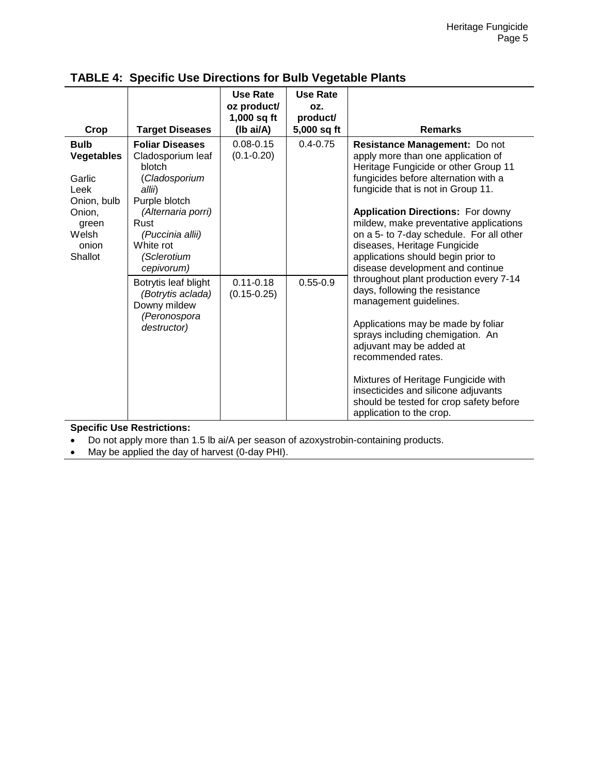| Crop                                                                                                              | <b>Target Diseases</b>                                                                                                                                                                        | Use Rate<br>oz product/<br>$1,000$ sq ft<br>(Ib ai/A) | Use Rate<br>OZ.<br>product/<br>5,000 sq ft | <b>Remarks</b>                                                                                                                                                                                                                                                                                                                                                                                                                        |
|-------------------------------------------------------------------------------------------------------------------|-----------------------------------------------------------------------------------------------------------------------------------------------------------------------------------------------|-------------------------------------------------------|--------------------------------------------|---------------------------------------------------------------------------------------------------------------------------------------------------------------------------------------------------------------------------------------------------------------------------------------------------------------------------------------------------------------------------------------------------------------------------------------|
| <b>Bulb</b><br><b>Vegetables</b><br>Garlic<br>Leek<br>Onion, bulb<br>Onion,<br>green<br>Welsh<br>onion<br>Shallot | <b>Foliar Diseases</b><br>Cladosporium leaf<br>blotch<br>(Cladosporium<br>allii)<br>Purple blotch<br>(Alternaria porri)<br>Rust<br>(Puccinia allii)<br>White rot<br>(Sclerotium<br>cepivorum) | $0.08 - 0.15$<br>$(0.1 - 0.20)$                       | $0.4 - 0.75$                               | Resistance Management: Do not<br>apply more than one application of<br>Heritage Fungicide or other Group 11<br>fungicides before alternation with a<br>fungicide that is not in Group 11.<br><b>Application Directions: For downy</b><br>mildew, make preventative applications<br>on a 5- to 7-day schedule. For all other<br>diseases, Heritage Fungicide<br>applications should begin prior to<br>disease development and continue |
|                                                                                                                   | Botrytis leaf blight<br>(Botrytis aclada)<br>Downy mildew<br>(Peronospora<br>destructor)                                                                                                      | $0.11 - 0.18$<br>$(0.15 - 0.25)$                      | $0.55 - 0.9$                               | throughout plant production every 7-14<br>days, following the resistance<br>management guidelines.<br>Applications may be made by foliar<br>sprays including chemigation. An<br>adjuvant may be added at<br>recommended rates.<br>Mixtures of Heritage Fungicide with<br>insecticides and silicone adjuvants<br>should be tested for crop safety before<br>application to the crop.                                                   |

Do not apply more than 1.5 lb ai/A per season of azoxystrobin-containing products.

May be applied the day of harvest (0-day PHI).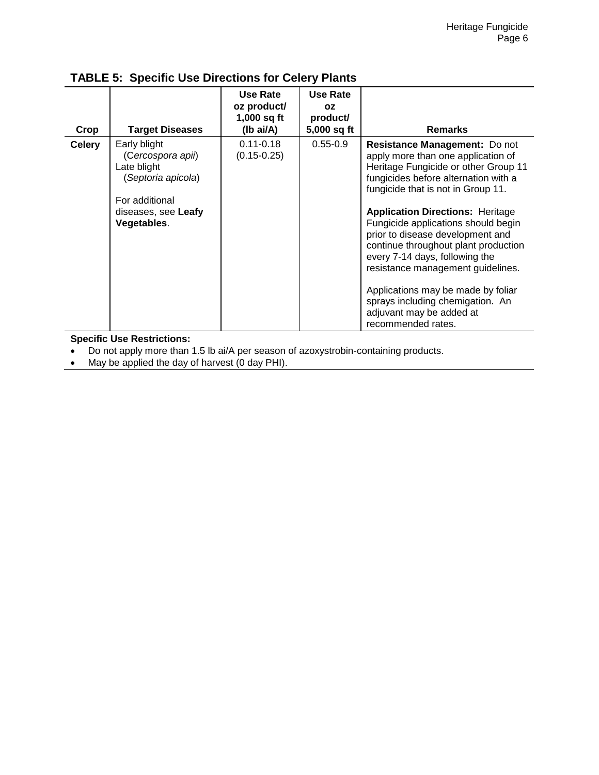| Crop          | <b>Target Diseases</b>                                                                                                         | Use Rate<br>oz product/<br>$1,000$ sq ft<br>(Ib ai/A) | Use Rate<br>OZ.<br>product/<br>5,000 sq ft | <b>Remarks</b>                                                                                                                                                                                                                                                                                                                                                                                                                                                                                                                                             |
|---------------|--------------------------------------------------------------------------------------------------------------------------------|-------------------------------------------------------|--------------------------------------------|------------------------------------------------------------------------------------------------------------------------------------------------------------------------------------------------------------------------------------------------------------------------------------------------------------------------------------------------------------------------------------------------------------------------------------------------------------------------------------------------------------------------------------------------------------|
| <b>Celery</b> | Early blight<br>(Cercospora apii)<br>Late blight<br>(Septoria apicola)<br>For additional<br>diseases, see Leafy<br>Vegetables. | $0.11 - 0.18$<br>$(0.15 - 0.25)$                      | $0.55 - 0.9$                               | Resistance Management: Do not<br>apply more than one application of<br>Heritage Fungicide or other Group 11<br>fungicides before alternation with a<br>fungicide that is not in Group 11.<br><b>Application Directions: Heritage</b><br>Fungicide applications should begin<br>prior to disease development and<br>continue throughout plant production<br>every 7-14 days, following the<br>resistance management guidelines.<br>Applications may be made by foliar<br>sprays including chemigation. An<br>adjuvant may be added at<br>recommended rates. |

## **TABLE 5: Specific Use Directions for Celery Plants**

- Do not apply more than 1.5 lb ai/A per season of azoxystrobin-containing products.
- May be applied the day of harvest (0 day PHI).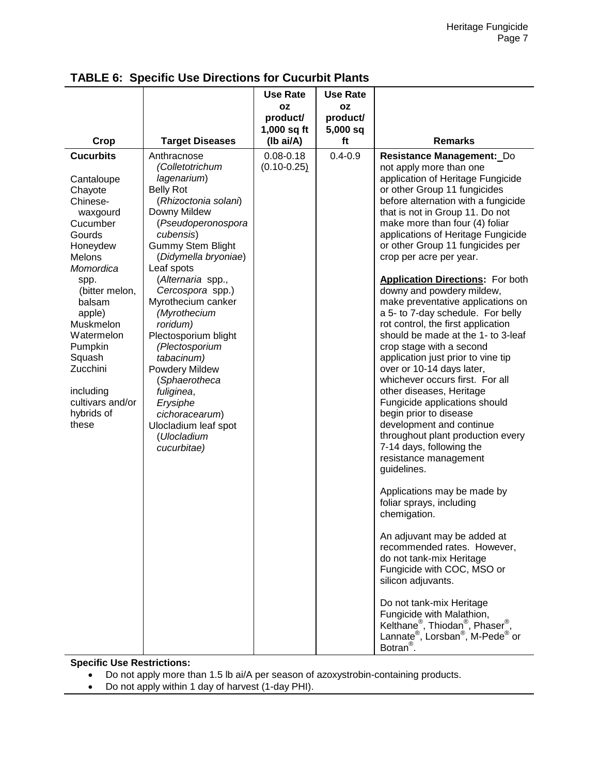|                                                                                                                                                                                                                                                                                                     |                                                                                                                                                                                                                                                                                                                                                                                                                                                                                                               | <b>Use Rate</b>                      | <b>Use Rate</b>                     |                                                                                                                                                                                                                                                                                                                                                                                                                                                                                                                                                                                                                                                                                                                                                                                                                                                                                                                                                                                                                                                                                                                                                                                                                                                                                                                                                                                                   |
|-----------------------------------------------------------------------------------------------------------------------------------------------------------------------------------------------------------------------------------------------------------------------------------------------------|---------------------------------------------------------------------------------------------------------------------------------------------------------------------------------------------------------------------------------------------------------------------------------------------------------------------------------------------------------------------------------------------------------------------------------------------------------------------------------------------------------------|--------------------------------------|-------------------------------------|---------------------------------------------------------------------------------------------------------------------------------------------------------------------------------------------------------------------------------------------------------------------------------------------------------------------------------------------------------------------------------------------------------------------------------------------------------------------------------------------------------------------------------------------------------------------------------------------------------------------------------------------------------------------------------------------------------------------------------------------------------------------------------------------------------------------------------------------------------------------------------------------------------------------------------------------------------------------------------------------------------------------------------------------------------------------------------------------------------------------------------------------------------------------------------------------------------------------------------------------------------------------------------------------------------------------------------------------------------------------------------------------------|
|                                                                                                                                                                                                                                                                                                     |                                                                                                                                                                                                                                                                                                                                                                                                                                                                                                               | <b>OZ</b><br>product/<br>1,000 sq ft | <b>OZ</b><br>product/<br>$5,000$ sq |                                                                                                                                                                                                                                                                                                                                                                                                                                                                                                                                                                                                                                                                                                                                                                                                                                                                                                                                                                                                                                                                                                                                                                                                                                                                                                                                                                                                   |
| Crop                                                                                                                                                                                                                                                                                                | <b>Target Diseases</b>                                                                                                                                                                                                                                                                                                                                                                                                                                                                                        | (Ib ai/A)                            | ft                                  | <b>Remarks</b>                                                                                                                                                                                                                                                                                                                                                                                                                                                                                                                                                                                                                                                                                                                                                                                                                                                                                                                                                                                                                                                                                                                                                                                                                                                                                                                                                                                    |
| <b>Cucurbits</b><br>Cantaloupe<br>Chayote<br>Chinese-<br>waxgourd<br>Cucumber<br>Gourds<br>Honeydew<br><b>Melons</b><br>Momordica<br>spp.<br>(bitter melon,<br>balsam<br>apple)<br>Muskmelon<br>Watermelon<br>Pumpkin<br>Squash<br>Zucchini<br>including<br>cultivars and/or<br>hybrids of<br>these | Anthracnose<br>(Colletotrichum<br>lagenarium)<br><b>Belly Rot</b><br>(Rhizoctonia solani)<br>Downy Mildew<br>(Pseudoperonospora<br>cubensis)<br><b>Gummy Stem Blight</b><br>(Didymella bryoniae)<br>Leaf spots<br>(Alternaria spp.,<br>Cercospora spp.)<br>Myrothecium canker<br>(Myrothecium<br>roridum)<br>Plectosporium blight<br>(Plectosporium<br>tabacinum)<br><b>Powdery Mildew</b><br>(Sphaerotheca<br>fuliginea,<br>Erysiphe<br>cichoracearum)<br>Ulocladium leaf spot<br>(Ulocladium<br>cucurbitae) | $0.08 - 0.18$<br>$(0.10 - 0.25)$     | $0.4 - 0.9$                         | Resistance Management: Do<br>not apply more than one<br>application of Heritage Fungicide<br>or other Group 11 fungicides<br>before alternation with a fungicide<br>that is not in Group 11. Do not<br>make more than four (4) foliar<br>applications of Heritage Fungicide<br>or other Group 11 fungicides per<br>crop per acre per year.<br><b>Application Directions:</b> For both<br>downy and powdery mildew,<br>make preventative applications on<br>a 5- to 7-day schedule. For belly<br>rot control, the first application<br>should be made at the 1- to 3-leaf<br>crop stage with a second<br>application just prior to vine tip<br>over or 10-14 days later,<br>whichever occurs first. For all<br>other diseases, Heritage<br>Fungicide applications should<br>begin prior to disease<br>development and continue<br>throughout plant production every<br>7-14 days, following the<br>resistance management<br>guidelines.<br>Applications may be made by<br>foliar sprays, including<br>chemigation.<br>An adjuvant may be added at<br>recommended rates. However,<br>do not tank-mix Heritage<br>Fungicide with COC, MSO or<br>silicon adjuvants.<br>Do not tank-mix Heritage<br>Fungicide with Malathion,<br>Kelthane <sup>®</sup> , Thiodan <sup>®</sup> , Phaser <sup>®</sup> ,<br>Lannate <sup>®</sup> , Lorsban <sup>®</sup> , M-Pede <sup>®</sup> or<br>Botran <sup>®</sup> . |

**TABLE 6: Specific Use Directions for Cucurbit Plants**

- Do not apply more than 1.5 lb ai/A per season of azoxystrobin-containing products.
- Do not apply within 1 day of harvest (1-day PHI).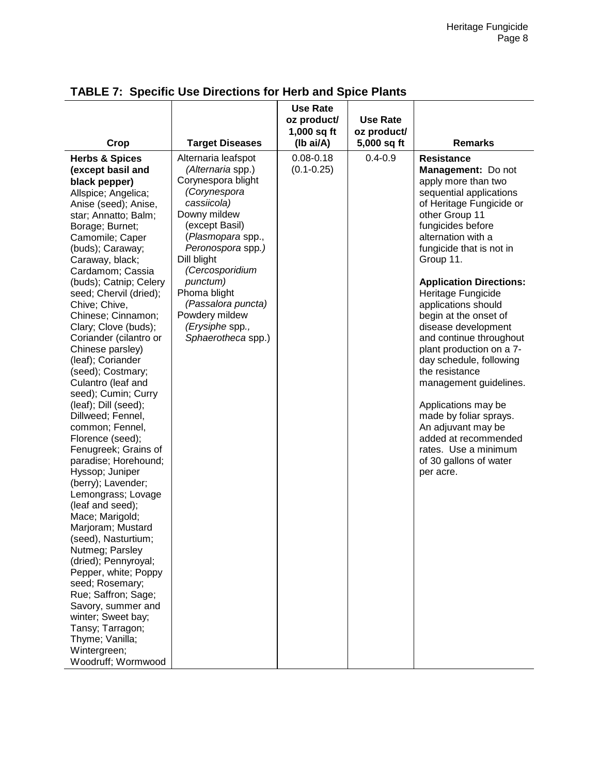| $1,000$ sq ft<br>oz product/<br>(Ib ai/A)<br>5,000 sq ft<br><b>Remarks</b><br>Crop<br><b>Target Diseases</b><br>$0.08 - 0.18$<br>$0.4 - 0.9$<br>Alternaria leafspot<br><b>Herbs &amp; Spices</b><br>Resistance<br>(Alternaria spp.)<br>$(0.1 - 0.25)$<br>(except basil and<br>Management: Do not<br>Corynespora blight<br>black pepper)<br>apply more than two<br>(Corynespora<br>sequential applications<br>Allspice; Angelica;<br>cassiicola)<br>of Heritage Fungicide or<br>Anise (seed); Anise,<br>Downy mildew<br>other Group 11<br>star; Annatto; Balm;<br>(except Basil)<br>fungicides before<br>Borage; Burnet;<br>(Plasmopara spp.,<br>alternation with a<br>Camomile; Caper<br>Peronospora spp.)<br>fungicide that is not in<br>(buds); Caraway;<br>Dill blight<br>Group 11.<br>Caraway, black;<br>(Cercosporidium<br>Cardamom; Cassia<br>punctum)<br>(buds); Catnip; Celery<br>Phoma blight<br>seed; Chervil (dried);<br>Heritage Fungicide<br>Chive; Chive,<br>(Passalora puncta)<br>applications should<br>Powdery mildew<br>Chinese; Cinnamon;<br>begin at the onset of<br>(Erysiphe spp.,<br>Clary; Clove (buds);<br>disease development<br>Sphaerotheca spp.)<br>Coriander (cilantro or<br>plant production on a 7-<br>Chinese parsley)<br>(leaf); Coriander<br>day schedule, following<br>the resistance<br>(seed); Costmary;<br>Culantro (leaf and<br>seed); Cumin; Curry<br>(leaf); Dill (seed);<br>Applications may be<br>Dillweed; Fennel,<br>made by foliar sprays.<br>common; Fennel,<br>An adjuvant may be<br>Florence (seed);<br>added at recommended<br>Fenugreek; Grains of<br>rates. Use a minimum<br>paradise; Horehound;<br>of 30 gallons of water<br>Hyssop; Juniper<br>per acre.<br>(berry); Lavender;<br>Lemongrass; Lovage<br>(leaf and seed);<br>Mace; Marigold;<br>Marjoram; Mustard<br>(seed), Nasturtium;<br>Nutmeg; Parsley<br>(dried); Pennyroyal;<br>Pepper, white; Poppy<br>seed; Rosemary; |                     | <b>Use Rate</b> |                 |                                                                                     |
|---------------------------------------------------------------------------------------------------------------------------------------------------------------------------------------------------------------------------------------------------------------------------------------------------------------------------------------------------------------------------------------------------------------------------------------------------------------------------------------------------------------------------------------------------------------------------------------------------------------------------------------------------------------------------------------------------------------------------------------------------------------------------------------------------------------------------------------------------------------------------------------------------------------------------------------------------------------------------------------------------------------------------------------------------------------------------------------------------------------------------------------------------------------------------------------------------------------------------------------------------------------------------------------------------------------------------------------------------------------------------------------------------------------------------------------------------------------------------------------------------------------------------------------------------------------------------------------------------------------------------------------------------------------------------------------------------------------------------------------------------------------------------------------------------------------------------------------------------------------------------------------------------------------------------------------|---------------------|-----------------|-----------------|-------------------------------------------------------------------------------------|
|                                                                                                                                                                                                                                                                                                                                                                                                                                                                                                                                                                                                                                                                                                                                                                                                                                                                                                                                                                                                                                                                                                                                                                                                                                                                                                                                                                                                                                                                                                                                                                                                                                                                                                                                                                                                                                                                                                                                       |                     | oz product/     | <b>Use Rate</b> |                                                                                     |
|                                                                                                                                                                                                                                                                                                                                                                                                                                                                                                                                                                                                                                                                                                                                                                                                                                                                                                                                                                                                                                                                                                                                                                                                                                                                                                                                                                                                                                                                                                                                                                                                                                                                                                                                                                                                                                                                                                                                       |                     |                 |                 |                                                                                     |
| Savory, summer and<br>winter; Sweet bay;<br>Tansy; Tarragon;<br>Thyme; Vanilla;<br>Wintergreen;<br>Woodruff; Wormwood                                                                                                                                                                                                                                                                                                                                                                                                                                                                                                                                                                                                                                                                                                                                                                                                                                                                                                                                                                                                                                                                                                                                                                                                                                                                                                                                                                                                                                                                                                                                                                                                                                                                                                                                                                                                                 | Rue; Saffron; Sage; |                 |                 | <b>Application Directions:</b><br>and continue throughout<br>management guidelines. |

## **TABLE 7: Specific Use Directions for Herb and Spice Plants**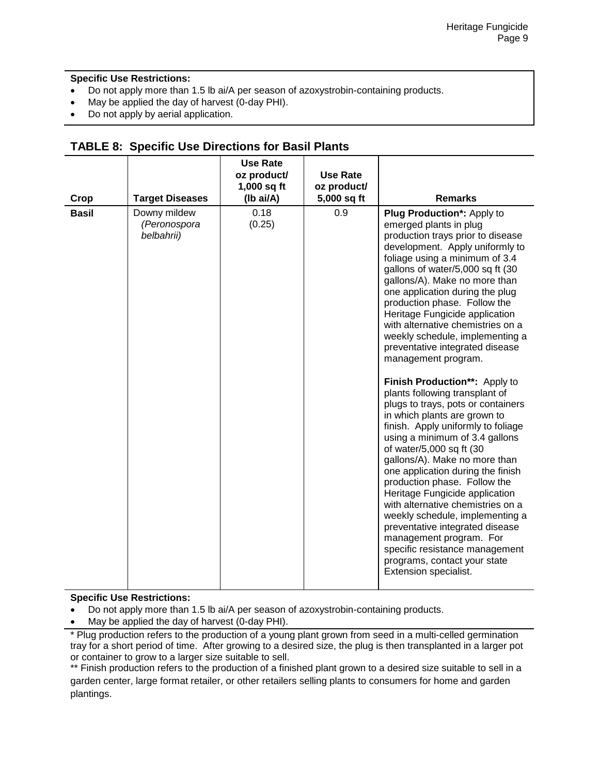- Do not apply more than 1.5 lb ai/A per season of azoxystrobin-containing products.
- May be applied the day of harvest (0-day PHI).
- Do not apply by aerial application.

| Crop         | <b>Target Diseases</b>                     | <b>Use Rate</b><br>oz product/<br>$1,000$ sq ft<br>(Ib ai/A) | <b>Use Rate</b><br>oz product/<br>5,000 sq ft | <b>Remarks</b>                                                                                                                                                                                                                                                                                                                                                                                                                                                                                                                                                                                                                                                                                                                                                                                                                                                                                                                                                                                                                                                                                   |
|--------------|--------------------------------------------|--------------------------------------------------------------|-----------------------------------------------|--------------------------------------------------------------------------------------------------------------------------------------------------------------------------------------------------------------------------------------------------------------------------------------------------------------------------------------------------------------------------------------------------------------------------------------------------------------------------------------------------------------------------------------------------------------------------------------------------------------------------------------------------------------------------------------------------------------------------------------------------------------------------------------------------------------------------------------------------------------------------------------------------------------------------------------------------------------------------------------------------------------------------------------------------------------------------------------------------|
| <b>Basil</b> | Downy mildew<br>(Peronospora<br>belbahrii) | 0.18<br>(0.25)                                               | 0.9                                           | Plug Production*: Apply to<br>emerged plants in plug<br>production trays prior to disease<br>development. Apply uniformly to<br>foliage using a minimum of 3.4<br>gallons of water/5,000 sq ft (30<br>gallons/A). Make no more than<br>one application during the plug<br>production phase. Follow the<br>Heritage Fungicide application<br>with alternative chemistries on a<br>weekly schedule, implementing a<br>preventative integrated disease<br>management program.<br>Finish Production**: Apply to<br>plants following transplant of<br>plugs to trays, pots or containers<br>in which plants are grown to<br>finish. Apply uniformly to foliage<br>using a minimum of 3.4 gallons<br>of water/5,000 sq ft (30<br>gallons/A). Make no more than<br>one application during the finish<br>production phase. Follow the<br>Heritage Fungicide application<br>with alternative chemistries on a<br>weekly schedule, implementing a<br>preventative integrated disease<br>management program. For<br>specific resistance management<br>programs, contact your state<br>Extension specialist. |

#### **TABLE 8: Specific Use Directions for Basil Plants**

**Specific Use Restrictions:**

• Do not apply more than 1.5 lb ai/A per season of azoxystrobin-containing products.

May be applied the day of harvest (0-day PHI).

\* Plug production refers to the production of a young plant grown from seed in a multi-celled germination tray for a short period of time. After growing to a desired size, the plug is then transplanted in a larger pot or container to grow to a larger size suitable to sell.

\*\* Finish production refers to the production of a finished plant grown to a desired size suitable to sell in a garden center, large format retailer, or other retailers selling plants to consumers for home and garden plantings.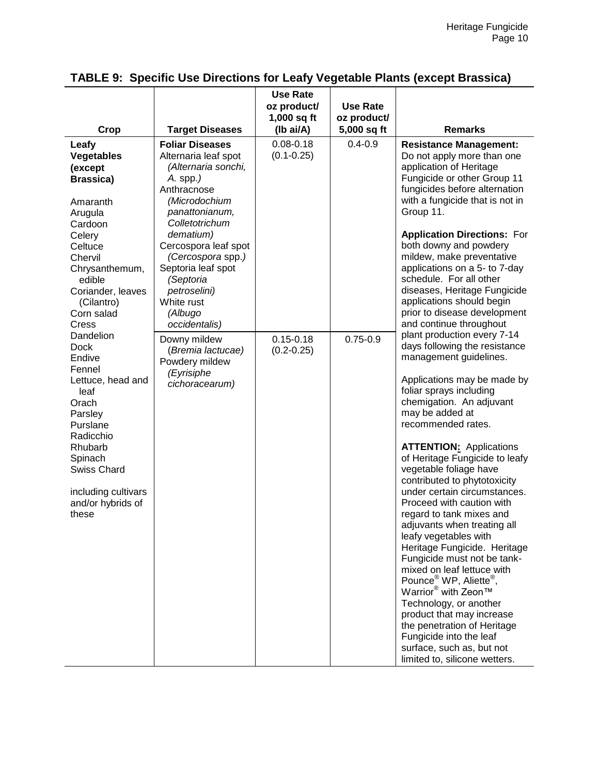|  |  |  |  | TABLE 9: Specific Use Directions for Leafy Vegetable Plants (except Brassica) |  |  |
|--|--|--|--|-------------------------------------------------------------------------------|--|--|
|--|--|--|--|-------------------------------------------------------------------------------|--|--|

|                                                                                                                                                                                                                         |                                                                                                                                                                                                                                                                                                                                |                                                            |                                               | opound oud Directions for Loary vogetable rights (execpt Diagoloa)                                                                                                                                                                                                                                                                                                                                                                                                                                                                                                                                                                                                                                                                                                                                                                     |
|-------------------------------------------------------------------------------------------------------------------------------------------------------------------------------------------------------------------------|--------------------------------------------------------------------------------------------------------------------------------------------------------------------------------------------------------------------------------------------------------------------------------------------------------------------------------|------------------------------------------------------------|-----------------------------------------------|----------------------------------------------------------------------------------------------------------------------------------------------------------------------------------------------------------------------------------------------------------------------------------------------------------------------------------------------------------------------------------------------------------------------------------------------------------------------------------------------------------------------------------------------------------------------------------------------------------------------------------------------------------------------------------------------------------------------------------------------------------------------------------------------------------------------------------------|
| Crop                                                                                                                                                                                                                    | <b>Target Diseases</b>                                                                                                                                                                                                                                                                                                         | <b>Use Rate</b><br>oz product/<br>1,000 sq ft<br>(Ib ai/A) | <b>Use Rate</b><br>oz product/<br>5,000 sq ft | <b>Remarks</b>                                                                                                                                                                                                                                                                                                                                                                                                                                                                                                                                                                                                                                                                                                                                                                                                                         |
| Leafy<br>Vegetables<br>(except<br><b>Brassica)</b><br>Amaranth<br>Arugula<br>Cardoon<br>Celery<br>Celtuce<br>Chervil<br>Chrysanthemum,<br>edible<br>Coriander, leaves<br>(Cilantro)<br>Corn salad<br>Cress<br>Dandelion | <b>Foliar Diseases</b><br>Alternaria leaf spot<br>(Alternaria sonchi,<br>$A.$ spp.)<br>Anthracnose<br>(Microdochium<br>panattonianum,<br>Colletotrichum<br>dematium)<br>Cercospora leaf spot<br>(Cercospora spp.)<br>Septoria leaf spot<br>(Septoria<br>petroselini)<br>White rust<br>(Albugo<br>occidentalis)<br>Downy mildew | $0.08 - 0.18$<br>$(0.1 - 0.25)$<br>$0.15 - 0.18$           | $0.4 - 0.9$<br>$0.75 - 0.9$                   | <b>Resistance Management:</b><br>Do not apply more than one<br>application of Heritage<br>Fungicide or other Group 11<br>fungicides before alternation<br>with a fungicide that is not in<br>Group 11.<br><b>Application Directions: For</b><br>both downy and powdery<br>mildew, make preventative<br>applications on a 5- to 7-day<br>schedule. For all other<br>diseases, Heritage Fungicide<br>applications should begin<br>prior to disease development<br>and continue throughout<br>plant production every 7-14                                                                                                                                                                                                                                                                                                                 |
| <b>Dock</b><br>Endive<br>Fennel<br>Lettuce, head and<br>leaf<br>Orach<br>Parsley<br>Purslane<br>Radicchio<br>Rhubarb<br>Spinach<br><b>Swiss Chard</b><br>including cultivars<br>and/or hybrids of<br>these              | (Bremia lactucae)<br>Powdery mildew<br>(Eyrisiphe<br>cichoracearum)                                                                                                                                                                                                                                                            | $(0.2 - 0.25)$                                             |                                               | days following the resistance<br>management guidelines.<br>Applications may be made by<br>foliar sprays including<br>chemigation. An adjuvant<br>may be added at<br>recommended rates.<br><b>ATTENTION: Applications</b><br>of Heritage Fungicide to leafy<br>vegetable foliage have<br>contributed to phytotoxicity<br>under certain circumstances.<br>Proceed with caution with<br>regard to tank mixes and<br>adjuvants when treating all<br>leafy vegetables with<br>Heritage Fungicide. Heritage<br>Fungicide must not be tank-<br>mixed on leaf lettuce with<br>Pounce <sup>®</sup> WP, Aliette <sup>®</sup> ,<br>Warrior <sup>®</sup> with Zeon™<br>Technology, or another<br>product that may increase<br>the penetration of Heritage<br>Fungicide into the leaf<br>surface, such as, but not<br>limited to, silicone wetters. |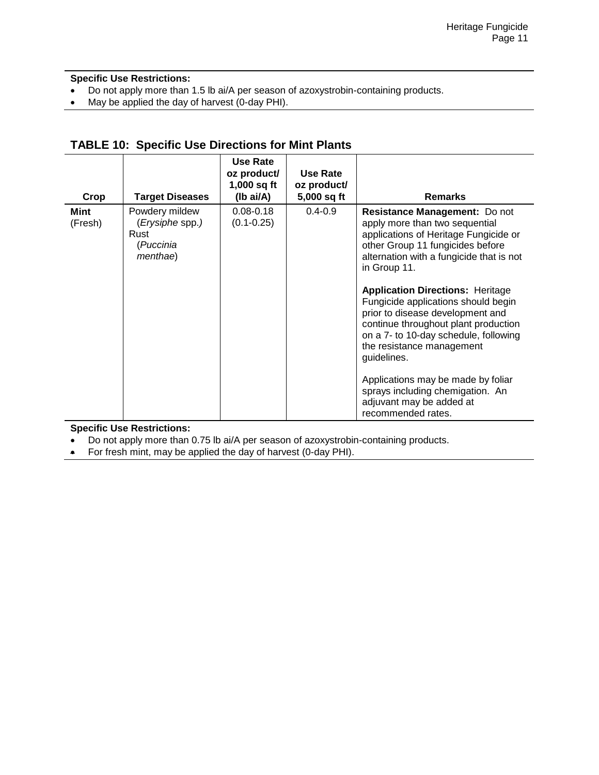- Do not apply more than 1.5 lb ai/A per season of azoxystrobin-containing products.
- May be applied the day of harvest (0-day PHI).

| Crop            | <b>Target Diseases</b>                                             | Use Rate<br>oz product/<br>$1,000$ sq ft<br>(Ib ai/A) | Use Rate<br>oz product/<br>5,000 sq ft | <b>Remarks</b>                                                                                                                                                                                                                                                                                                                                                                                                                                                                                                                                                                          |
|-----------------|--------------------------------------------------------------------|-------------------------------------------------------|----------------------------------------|-----------------------------------------------------------------------------------------------------------------------------------------------------------------------------------------------------------------------------------------------------------------------------------------------------------------------------------------------------------------------------------------------------------------------------------------------------------------------------------------------------------------------------------------------------------------------------------------|
| Mint<br>(Fresh) | Powdery mildew<br>(Erysiphe spp.)<br>Rust<br>(Puccinia<br>menthae) | $0.08 - 0.18$<br>$(0.1 - 0.25)$                       | $0.4 - 0.9$                            | Resistance Management: Do not<br>apply more than two sequential<br>applications of Heritage Fungicide or<br>other Group 11 fungicides before<br>alternation with a fungicide that is not<br>in Group 11.<br><b>Application Directions: Heritage</b><br>Fungicide applications should begin<br>prior to disease development and<br>continue throughout plant production<br>on a 7- to 10-day schedule, following<br>the resistance management<br>guidelines.<br>Applications may be made by foliar<br>sprays including chemigation. An<br>adjuvant may be added at<br>recommended rates. |

#### **TABLE 10: Specific Use Directions for Mint Plants**

**Specific Use Restrictions:**

Do not apply more than 0.75 lb ai/A per season of azoxystrobin-containing products.

For fresh mint, may be applied the day of harvest (0-day PHI).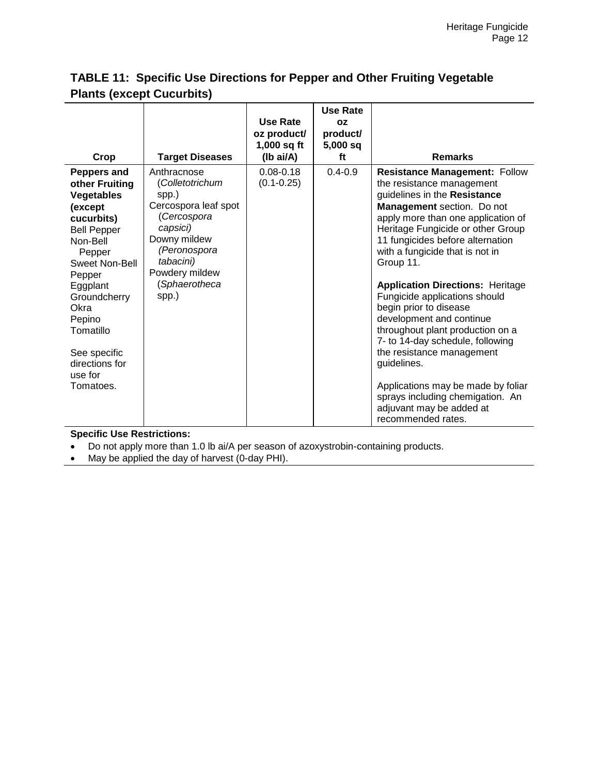|                                  | <b>TABLE 11: Specific Use Directions for Pepper and Other Fruiting Vegetable</b> |  |  |
|----------------------------------|----------------------------------------------------------------------------------|--|--|
| <b>Plants (except Cucurbits)</b> |                                                                                  |  |  |

| Crop                                                                                                                                                                                                                                                                            | <b>Target Diseases</b>                                                                                                                                                              | Use Rate<br>oz product/<br>$1,000$ sq ft<br>(Ib ai/A) | <b>Use Rate</b><br><b>OZ</b><br>product/<br>$5,000$ sq<br>ft | <b>Remarks</b>                                                                                                                                                                                                                                                                                                                                                                                                                                                                                                                                                                                                                                                                          |
|---------------------------------------------------------------------------------------------------------------------------------------------------------------------------------------------------------------------------------------------------------------------------------|-------------------------------------------------------------------------------------------------------------------------------------------------------------------------------------|-------------------------------------------------------|--------------------------------------------------------------|-----------------------------------------------------------------------------------------------------------------------------------------------------------------------------------------------------------------------------------------------------------------------------------------------------------------------------------------------------------------------------------------------------------------------------------------------------------------------------------------------------------------------------------------------------------------------------------------------------------------------------------------------------------------------------------------|
| <b>Peppers and</b><br>other Fruiting<br><b>Vegetables</b><br>(except<br>cucurbits)<br><b>Bell Pepper</b><br>Non-Bell<br>Pepper<br>Sweet Non-Bell<br>Pepper<br>Eggplant<br>Groundcherry<br>Okra<br>Pepino<br>Tomatillo<br>See specific<br>directions for<br>use for<br>Tomatoes. | Anthracnose<br>(Colletotrichum<br>spp.)<br>Cercospora leaf spot<br>(Cercospora<br>capsici)<br>Downy mildew<br>(Peronospora<br>tabacini)<br>Powdery mildew<br>(Sphaerotheca<br>spp.) | $0.08 - 0.18$<br>$(0.1 - 0.25)$                       | $0.4 - 0.9$                                                  | <b>Resistance Management: Follow</b><br>the resistance management<br>guidelines in the Resistance<br><b>Management</b> section. Do not<br>apply more than one application of<br>Heritage Fungicide or other Group<br>11 fungicides before alternation<br>with a fungicide that is not in<br>Group 11.<br><b>Application Directions: Heritage</b><br>Fungicide applications should<br>begin prior to disease<br>development and continue<br>throughout plant production on a<br>7- to 14-day schedule, following<br>the resistance management<br>guidelines.<br>Applications may be made by foliar<br>sprays including chemigation. An<br>adjuvant may be added at<br>recommended rates. |

Do not apply more than 1.0 lb ai/A per season of azoxystrobin-containing products.

May be applied the day of harvest (0-day PHI).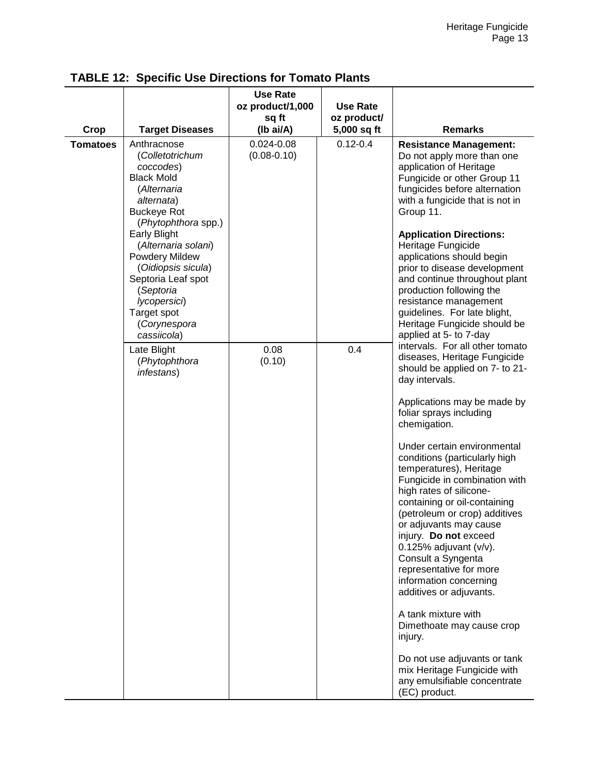|                 |                                                                                                                                                                                            | <b>Use Rate</b><br>oz product/1,000<br>sq ft | <b>Use Rate</b><br>oz product/ |                                                                                                                                                                                                                                                                                                                                                                                                            |
|-----------------|--------------------------------------------------------------------------------------------------------------------------------------------------------------------------------------------|----------------------------------------------|--------------------------------|------------------------------------------------------------------------------------------------------------------------------------------------------------------------------------------------------------------------------------------------------------------------------------------------------------------------------------------------------------------------------------------------------------|
| Crop            | <b>Target Diseases</b>                                                                                                                                                                     | (Ib ai/A)                                    | 5,000 sq ft                    | <b>Remarks</b>                                                                                                                                                                                                                                                                                                                                                                                             |
| <b>Tomatoes</b> | Anthracnose<br>(Colletotrichum<br>coccodes)<br><b>Black Mold</b><br>(Alternaria<br>alternata)<br><b>Buckeye Rot</b><br>(Phytophthora spp.)                                                 | $0.024 - 0.08$<br>$(0.08 - 0.10)$            | $0.12 - 0.4$                   | <b>Resistance Management:</b><br>Do not apply more than one<br>application of Heritage<br>Fungicide or other Group 11<br>fungicides before alternation<br>with a fungicide that is not in<br>Group 11.                                                                                                                                                                                                     |
|                 | <b>Early Blight</b><br>(Alternaria solani)<br><b>Powdery Mildew</b><br>(Oidiopsis sicula)<br>Septoria Leaf spot<br>(Septoria<br>lycopersici)<br>Target spot<br>(Corynespora<br>cassiicola) |                                              |                                | <b>Application Directions:</b><br>Heritage Fungicide<br>applications should begin<br>prior to disease development<br>and continue throughout plant<br>production following the<br>resistance management<br>guidelines. For late blight,<br>Heritage Fungicide should be<br>applied at 5- to 7-day                                                                                                          |
|                 | Late Blight<br>(Phytophthora<br>infestans)                                                                                                                                                 | 0.08<br>(0.10)                               | 0.4                            | intervals. For all other tomato<br>diseases, Heritage Fungicide<br>should be applied on 7- to 21-<br>day intervals.                                                                                                                                                                                                                                                                                        |
|                 |                                                                                                                                                                                            |                                              |                                | Applications may be made by<br>foliar sprays including<br>chemigation.                                                                                                                                                                                                                                                                                                                                     |
|                 |                                                                                                                                                                                            |                                              |                                | Under certain environmental<br>conditions (particularly high<br>temperatures), Heritage<br>Fungicide in combination with<br>high rates of silicone-<br>containing or oil-containing<br>(petroleum or crop) additives<br>or adjuvants may cause<br>injury. Do not exceed<br>$0.125\%$ adjuvant (v/v).<br>Consult a Syngenta<br>representative for more<br>information concerning<br>additives or adjuvants. |
|                 |                                                                                                                                                                                            |                                              |                                | A tank mixture with<br>Dimethoate may cause crop<br>injury.                                                                                                                                                                                                                                                                                                                                                |
|                 |                                                                                                                                                                                            |                                              |                                | Do not use adjuvants or tank<br>mix Heritage Fungicide with<br>any emulsifiable concentrate<br>(EC) product.                                                                                                                                                                                                                                                                                               |

### **TABLE 12: Specific Use Directions for Tomato Plants**